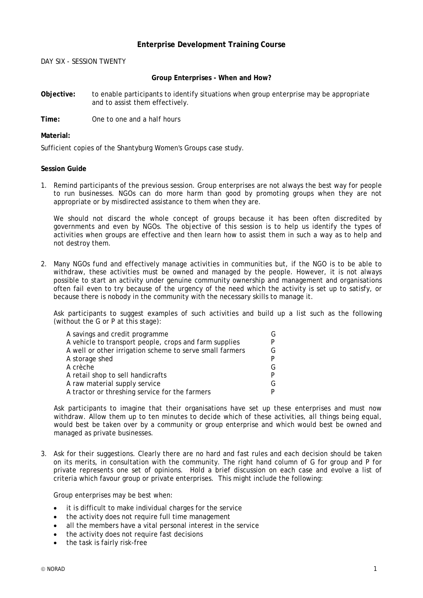## **Enterprise Development Training Course**

DAY SIX - SESSION TWENTY

## **Group Enterprises - When and How?**

**Objective:** to enable participants to identify situations when group enterprise may be appropriate and to assist them effectively.

**Time:** One to one and a half hours

## **Material:**

Sufficient copies of the Shantyburg Women's Groups case study.

## **Session Guide**

1. Remind participants of the previous session. Group enterprises are not always the best way for people to run businesses. NGOs can do more harm than good by promoting groups when they are not appropriate or by misdirected assistance to them when they are.

We should not discard the whole concept of groups because it has been often discredited by governments and even by NGOs. The objective of this session is to help us identify the types of activities when groups are effective and then learn how to assist them in such a way as to help and not destroy them.

2. Many NGOs fund and effectively manage activities in communities but, if the NGO is to be able to withdraw, these activities must be owned and managed by the people. However, it is not always possible to start an activity under genuine community ownership and management and organisations often fail even to try because of the urgency of the need which the activity is set up to satisfy, or because there is nobody in the community with the necessary skills to manage it.

Ask participants to suggest examples of such activities and build up a list such as the following (without the G or P at this stage):

| A savings and credit programme                           |   |
|----------------------------------------------------------|---|
| A vehicle to transport people, crops and farm supplies   |   |
| A well or other irrigation scheme to serve small farmers | G |
| A storage shed                                           |   |
| A crèche                                                 |   |
| A retail shop to sell handicrafts                        |   |
| A raw material supply service                            |   |
| A tractor or threshing service for the farmers           |   |

Ask participants to imagine that their organisations have set up these enterprises and must now withdraw. Allow them up to ten minutes to decide which of these activities, all things being equal, would best be taken over by a community or group enterprise and which would best be owned and managed as private businesses.

3. Ask for their suggestions. Clearly there are no hard and fast rules and each decision should be taken on its merits, in consultation with the community. The right hand column of G for group and P for private represents one set of opinions. Hold a brief discussion on each case and evolve a list of criteria which favour group or private enterprises. This might include the following:

Group enterprises may be best when:

- it is difficult to make individual charges for the service
- the activity does not require full time management
- all the members have a vital personal interest in the service
- the activity does not require fast decisions
- the task is fairly risk-free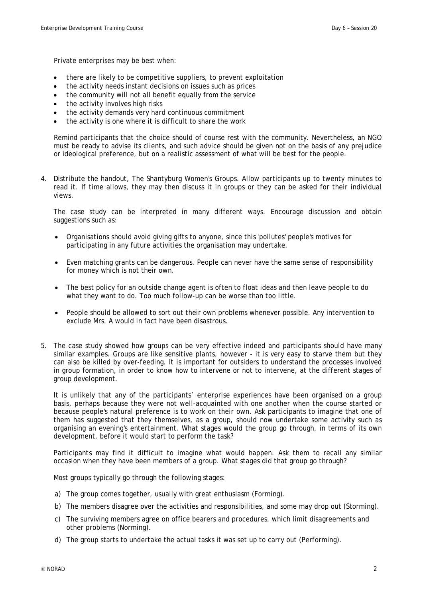Private enterprises may be best when:

- there are likely to be competitive suppliers, to prevent exploitation
- the activity needs instant decisions on issues such as prices
- the community will not all benefit equally from the service
- the activity involves high risks
- the activity demands very hard continuous commitment
- the activity is one where it is difficult to share the work

Remind participants that the choice should of course rest with the community. Nevertheless, an NGO must be ready to advise its clients, and such advice should be given not on the basis of any prejudice or ideological preference, but on a realistic assessment of what will be best for the people.

4. Distribute the handout, The Shantyburg Women's Groups. Allow participants up to twenty minutes to read it. If time allows, they may then discuss it in groups or they can be asked for their individual views.

The case study can be interpreted in many different ways. Encourage discussion and obtain suggestions such as:

- Organisations should avoid giving gifts to anyone, since this 'pollutes' people's motives for participating in any future activities the organisation may undertake.
- Even matching grants can be dangerous. People can never have the same sense of responsibility for money which is not their own.
- The best policy for an outside change agent is often to float ideas and then leave people to do what they want to do. Too much follow-up can be worse than too little.
- People should be allowed to sort out their own problems whenever possible. Any intervention to exclude Mrs. A would in fact have been disastrous.
- 5. The case study showed how groups can be very effective indeed and participants should have many similar examples. Groups are like sensitive plants, however - it is very easy to starve them but they can also be killed by over-feeding. It is important for outsiders to understand the processes involved in group formation, in order to know how to intervene or not to intervene, at the different stages of group development.

It is unlikely that any of the participants' enterprise experiences have been organised on a group basis, perhaps because they were not well-acquainted with one another when the course started or because people's natural preference is to work on their own. Ask participants to imagine that one of them has suggested that they themselves, as a group, should now undertake some activity such as organising an evening's entertainment. What stages would the group go through, in terms of its own development, before it would start to perform the task?

Participants may find it difficult to imagine what would happen. Ask them to recall any similar occasion when they have been members of a group. What stages did that group go through?

Most groups typically go through the following stages:

- a) The group comes together, usually with great enthusiasm (Forming).
- b) The members disagree over the activities and responsibilities, and some may drop out (Storming).
- c) The surviving members agree on office bearers and procedures, which limit disagreements and other problems (Norming).
- d) The group starts to undertake the actual tasks it was set up to carry out (Performing).